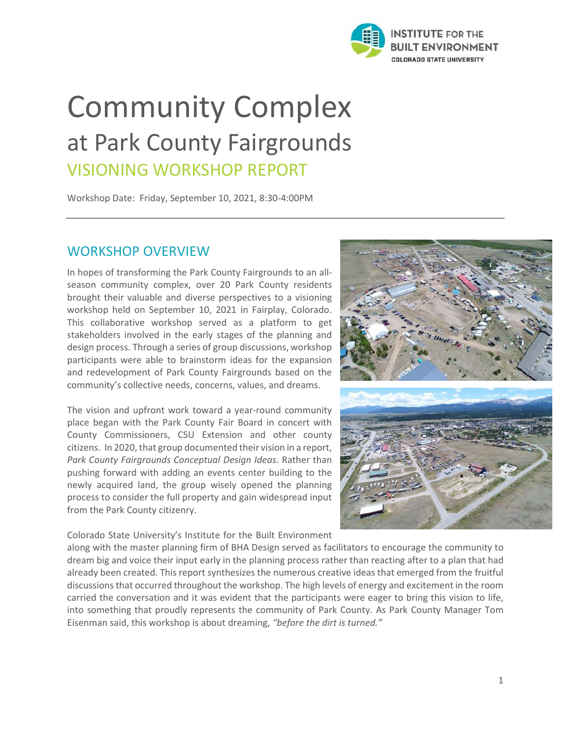

# Community Complex at Park County Fairgrounds VISIONING WORKSHOP REPORT

Workshop Date: Friday, September 10, 2021, 8:30-4:00PM

## WORKSHOP OVERVIEW

In hopes of transforming the Park County Fairgrounds to an allseason community complex, over 20 Park County residents brought their valuable and diverse perspectives to a visioning workshop held on September 10, 2021 in Fairplay, Colorado. This collaborative workshop served as a platform to get stakeholders involved in the early stages of the planning and design process. Through a series of group discussions, workshop participants were able to brainstorm ideas for the expansion and redevelopment of Park County Fairgrounds based on the community's collective needs, concerns, values, and dreams.

The vision and upfront work toward a year-round community place began with the Park County Fair Board in concert with County Commissioners, CSU Extension and other county citizens. In 2020, that group documented their vision in a report, *Park County Fairgrounds Conceptual Design Ideas*. Rather than pushing forward with adding an events center building to the newly acquired land, the group wisely opened the planning process to consider the full property and gain widespread input from the Park County citizenry.

Colorado State University's Institute for the Built Environment



along with the master planning firm of BHA Design served as facilitators to encourage the community to dream big and voice their input early in the planning process rather than reacting after to a plan that had already been created. This report synthesizes the numerous creative ideas that emerged from the fruitful discussions that occurred throughout the workshop. The high levels of energy and excitement in the room carried the conversation and it was evident that the participants were eager to bring this vision to life, into something that proudly represents the community of Park County. As Park County Manager Tom Eisenman said, this workshop is about dreaming, *"before the dirt is turned."*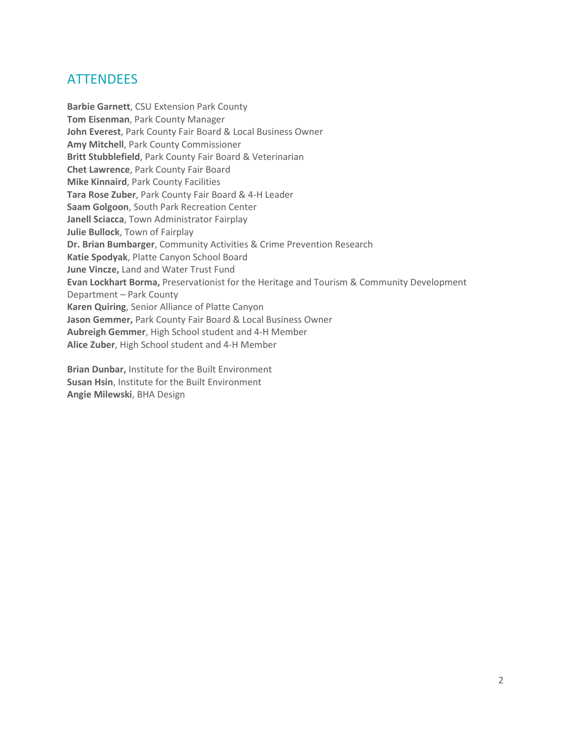# **ATTENDEES**

**Barbie Garnett**, CSU Extension Park County **Tom Eisenman**, Park County Manager **John Everest**, Park County Fair Board & Local Business Owner **Amy Mitchell**, Park County Commissioner **Britt Stubblefield**, Park County Fair Board & Veterinarian **Chet Lawrence**, Park County Fair Board **Mike Kinnaird**, Park County Facilities **Tara Rose Zuber**, Park County Fair Board & 4-H Leader **Saam Golgoon**, South Park Recreation Center **Janell Sciacca**, Town Administrator Fairplay **Julie Bullock**, Town of Fairplay **Dr. Brian Bumbarger**, Community Activities & Crime Prevention Research **Katie Spodyak**, Platte Canyon School Board **June Vincze,** Land and Water Trust Fund **Evan Lockhart Borma,** Preservationist for the Heritage and Tourism & Community Development Department – Park County **Karen Quiring**, Senior Alliance of Platte Canyon **Jason Gemmer,** Park County Fair Board & Local Business Owner **Aubreigh Gemmer**, High School student and 4-H Member **Alice Zuber**, High School student and 4-H Member

**Brian Dunbar,** Institute for the Built Environment **Susan Hsin**, Institute for the Built Environment **Angie Milewski**, BHA Design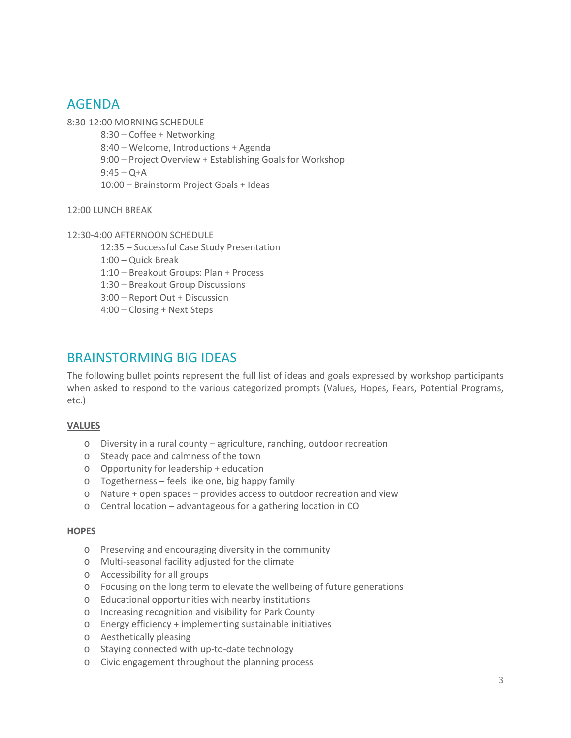## AGENDA

8:30-12:00 MORNING SCHEDULE

- 8:30 Coffee + Networking
- 8:40 Welcome, Introductions + Agenda
- 9:00 Project Overview + Establishing Goals for Workshop

 $9:45 - O + A$ 

10:00 – Brainstorm Project Goals + Ideas

12:00 LUNCH BREAK

12:30-4:00 AFTERNOON SCHEDULE

12:35 – Successful Case Study Presentation

1:00 – Quick Break

1:10 – Breakout Groups: Plan + Process

1:30 – Breakout Group Discussions

3:00 – Report Out + Discussion

4:00 – Closing + Next Steps

# BRAINSTORMING BIG IDEAS

The following bullet points represent the full list of ideas and goals expressed by workshop participants when asked to respond to the various categorized prompts (Values, Hopes, Fears, Potential Programs, etc.)

#### **VALUES**

- o Diversity in a rural county agriculture, ranching, outdoor recreation
- o Steady pace and calmness of the town
- o Opportunity for leadership + education
- o Togetherness feels like one, big happy family
- o Nature + open spaces provides access to outdoor recreation and view
- o Central location advantageous for a gathering location in CO

#### **HOPES**

- o Preserving and encouraging diversity in the community
- o Multi-seasonal facility adjusted for the climate
- o Accessibility for all groups
- o Focusing on the long term to elevate the wellbeing of future generations
- o Educational opportunities with nearby institutions
- o Increasing recognition and visibility for Park County
- o Energy efficiency + implementing sustainable initiatives
- o Aesthetically pleasing
- o Staying connected with up-to-date technology
- o Civic engagement throughout the planning process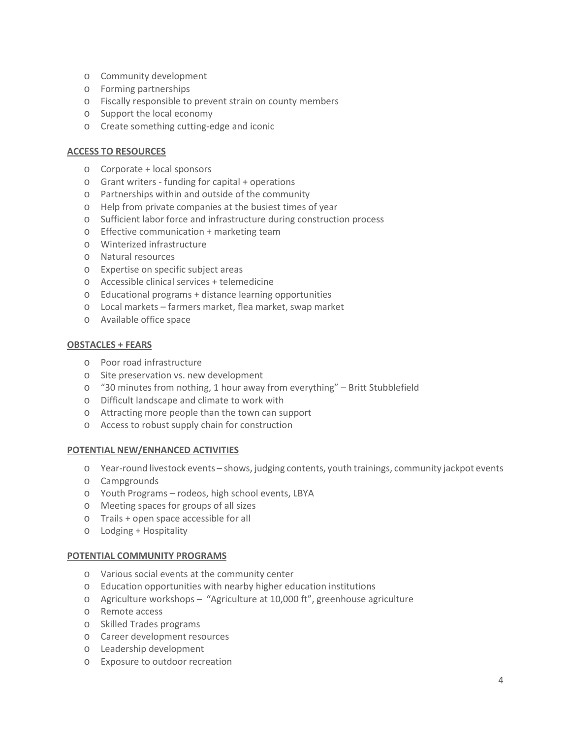- o Community development
- o Forming partnerships
- o Fiscally responsible to prevent strain on county members
- o Support the local economy
- o Create something cutting-edge and iconic

#### **ACCESS TO RESOURCES**

- o Corporate + local sponsors
- o Grant writers funding for capital + operations
- o Partnerships within and outside of the community
- o Help from private companies at the busiest times of year
- o Sufficient labor force and infrastructure during construction process
- o Effective communication + marketing team
- o Winterized infrastructure
- o Natural resources
- o Expertise on specific subject areas
- o Accessible clinical services + telemedicine
- o Educational programs + distance learning opportunities
- o Local markets farmers market, flea market, swap market
- o Available office space

#### **OBSTACLES + FEARS**

- o Poor road infrastructure
- o Site preservation vs. new development
- $\circ$  "30 minutes from nothing, 1 hour away from everything" Britt Stubblefield
- o Difficult landscape and climate to work with
- o Attracting more people than the town can support
- o Access to robust supply chain for construction

#### **POTENTIAL NEW/ENHANCED ACTIVITIES**

- o Year-round livestock events shows, judging contents, youth trainings, community jackpot events
- o Campgrounds
- o Youth Programs rodeos, high school events, LBYA
- o Meeting spaces for groups of all sizes
- o Trails + open space accessible for all
- o Lodging + Hospitality

#### **POTENTIAL COMMUNITY PROGRAMS**

- o Various social events at the community center
- o Education opportunities with nearby higher education institutions
- o Agriculture workshops "Agriculture at 10,000 ft", greenhouse agriculture
- o Remote access
- o Skilled Trades programs
- o Career development resources
- o Leadership development
- o Exposure to outdoor recreation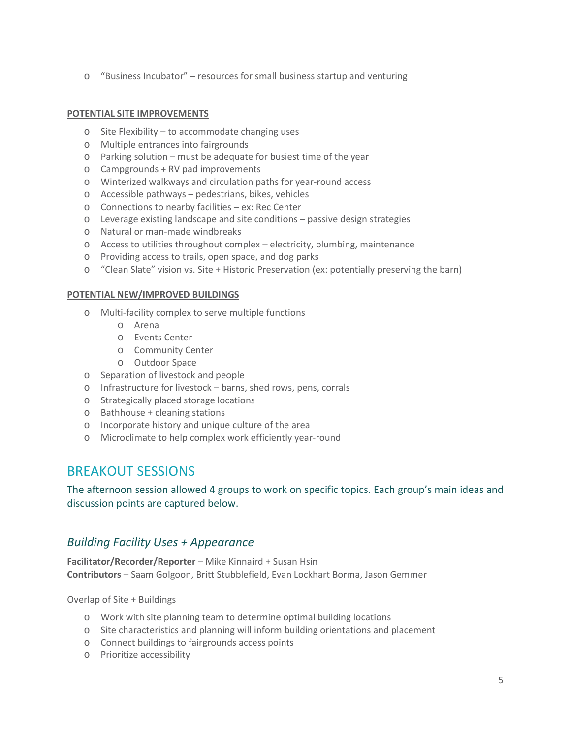o "Business Incubator" – resources for small business startup and venturing

#### **POTENTIAL SITE IMPROVEMENTS**

- o Site Flexibility to accommodate changing uses
- o Multiple entrances into fairgrounds
- o Parking solution must be adequate for busiest time of the year
- o Campgrounds + RV pad improvements
- o Winterized walkways and circulation paths for year-round access
- o Accessible pathways pedestrians, bikes, vehicles
- o Connections to nearby facilities ex: Rec Center
- o Leverage existing landscape and site conditions passive design strategies
- o Natural or man-made windbreaks
- o Access to utilities throughout complex electricity, plumbing, maintenance
- o Providing access to trails, open space, and dog parks
- o "Clean Slate" vision vs. Site + Historic Preservation (ex: potentially preserving the barn)

#### **POTENTIAL NEW/IMPROVED BUILDINGS**

- o Multi-facility complex to serve multiple functions
	- o Arena
	- o Events Center
	- o Community Center
	- o Outdoor Space
- o Separation of livestock and people
- o Infrastructure for livestock barns, shed rows, pens, corrals
- o Strategically placed storage locations
- o Bathhouse + cleaning stations
- o Incorporate history and unique culture of the area
- o Microclimate to help complex work efficiently year-round

## BREAKOUT SESSIONS

The afternoon session allowed 4 groups to work on specific topics. Each group's main ideas and discussion points are captured below.

## *Building Facility Uses + Appearance*

**Facilitator/Recorder/Reporter** – Mike Kinnaird + Susan Hsin **Contributors** – Saam Golgoon, Britt Stubblefield, Evan Lockhart Borma, Jason Gemmer

Overlap of Site + Buildings

- o Work with site planning team to determine optimal building locations
- o Site characteristics and planning will inform building orientations and placement
- o Connect buildings to fairgrounds access points
- o Prioritize accessibility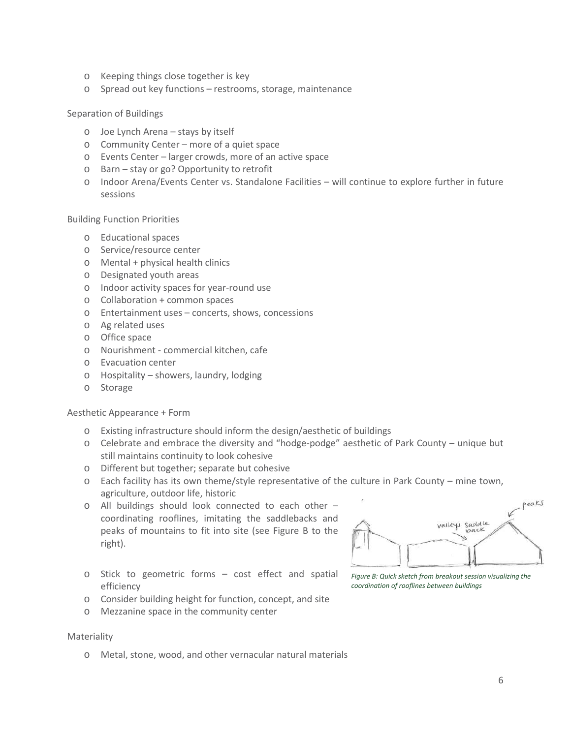- o Keeping things close together is key
- o Spread out key functions restrooms, storage, maintenance

#### Separation of Buildings

- o Joe Lynch Arena stays by itself
- o Community Center more of a quiet space
- o Events Center larger crowds, more of an active space
- o Barn stay or go? Opportunity to retrofit
- o Indoor Arena/Events Center vs. Standalone Facilities will continue to explore further in future sessions

Building Function Priorities

- o Educational spaces
- o Service/resource center
- o Mental + physical health clinics
- o Designated youth areas
- o Indoor activity spaces for year-round use
- o Collaboration + common spaces
- o Entertainment uses concerts, shows, concessions
- o Ag related uses
- o Office space
- o Nourishment commercial kitchen, cafe
- o Evacuation center
- o Hospitality showers, laundry, lodging
- o Storage

Aesthetic Appearance + Form

- o Existing infrastructure should inform the design/aesthetic of buildings
- o Celebrate and embrace the diversity and "hodge-podge" aesthetic of Park County unique but still maintains continuity to look cohesive
- o Different but together; separate but cohesive
- o Each facility has its own theme/style representative of the culture in Park County mine town, agriculture, outdoor life, historic
- o All buildings should look connected to each other coordinating rooflines, imitating the saddlebacks and peaks of mountains to fit into site (see Figure B to the right).



- o Stick to geometric forms cost effect and spatial efficiency
- o Consider building height for function, concept, and site
- o Mezzanine space in the community center

#### Materiality

o Metal, stone, wood, and other vernacular natural materials

*Figure B: Quick sketch from breakout session visualizing the coordination of rooflines between buildings*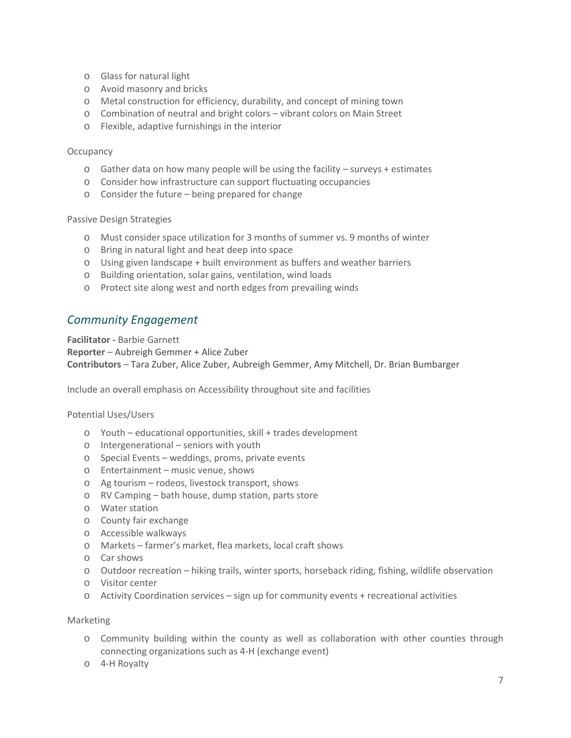- o Glass for natural light
- o Avoid masonry and bricks
- o Metal construction for efficiency, durability, and concept of mining town
- o Combination of neutral and bright colors vibrant colors on Main Street
- o Flexible, adaptive furnishings in the interior

#### **Occupancy**

- $\circ$  Gather data on how many people will be using the facility surveys + estimates
- o Consider how infrastructure can support fluctuating occupancies
- o Consider the future being prepared for change

#### Passive Design Strategies

- o Must consider space utilization for 3 months of summer vs. 9 months of winter
- o Bring in natural light and heat deep into space
- o Using given landscape + built environment as buffers and weather barriers
- o Building orientation, solar gains, ventilation, wind loads
- o Protect site along west and north edges from prevailing winds

### *Community Engagement*

**Facilitator -** Barbie Garnett

**Reporter** – Aubreigh Gemmer + Alice Zuber

**Contributors** – Tara Zuber, Alice Zuber, Aubreigh Gemmer, Amy Mitchell, Dr. Brian Bumbarger

Include an overall emphasis on Accessibility throughout site and facilities

#### Potential Uses/Users

- o Youth educational opportunities, skill + trades development
- o Intergenerational seniors with youth
- o Special Events weddings, proms, private events
- o Entertainment music venue, shows
- o Ag tourism rodeos, livestock transport, shows
- o RV Camping bath house, dump station, parts store
- o Water station
- o County fair exchange
- o Accessible walkways
- o Markets farmer's market, flea markets, local craft shows
- o Car shows
- o Outdoor recreation hiking trails, winter sports, horseback riding, fishing, wildlife observation
- o Visitor center
- $\circ$  Activity Coordination services sign up for community events + recreational activities

#### Marketing

- o Community building within the county as well as collaboration with other counties through connecting organizations such as 4-H (exchange event)
- o 4-H Royalty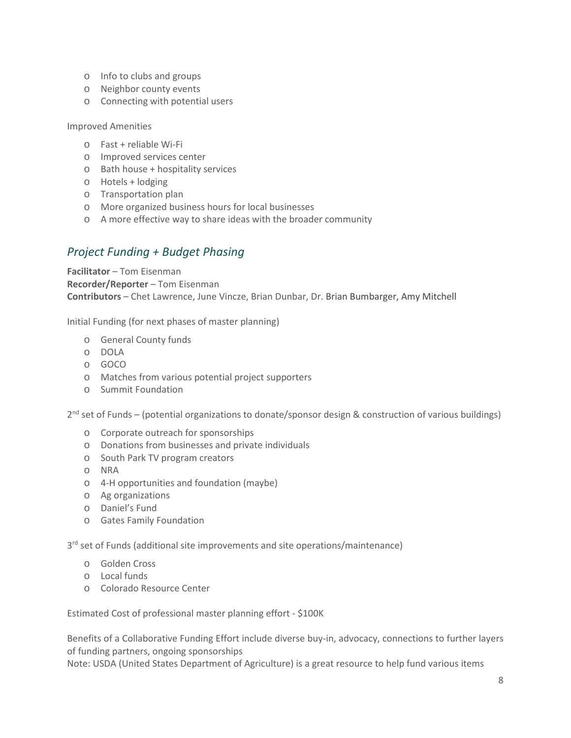- o Info to clubs and groups
- o Neighbor county events
- o Connecting with potential users

Improved Amenities

- o Fast + reliable Wi-Fi
- o Improved services center
- o Bath house + hospitality services
- o Hotels + lodging
- o Transportation plan
- o More organized business hours for local businesses
- o A more effective way to share ideas with the broader community

## *Project Funding + Budget Phasing*

**Facilitator** – Tom Eisenman **Recorder/Reporter** – Tom Eisenman **Contributors** – Chet Lawrence, June Vincze, Brian Dunbar, Dr. Brian Bumbarger, Amy Mitchell

Initial Funding (for next phases of master planning)

- o General County funds
- o DOLA
- o GOCO
- o Matches from various potential project supporters
- o Summit Foundation

2<sup>nd</sup> set of Funds – (potential organizations to donate/sponsor design & construction of various buildings)

- o Corporate outreach for sponsorships
- o Donations from businesses and private individuals
- o South Park TV program creators
- o NRA
- o 4-H opportunities and foundation (maybe)
- o Ag organizations
- o Daniel's Fund
- o Gates Family Foundation

3<sup>rd</sup> set of Funds (additional site improvements and site operations/maintenance)

- o Golden Cross
- o Local funds
- o Colorado Resource Center

Estimated Cost of professional master planning effort - \$100K

Benefits of a Collaborative Funding Effort include diverse buy-in, advocacy, connections to further layers of funding partners, ongoing sponsorships

Note: USDA (United States Department of Agriculture) is a great resource to help fund various items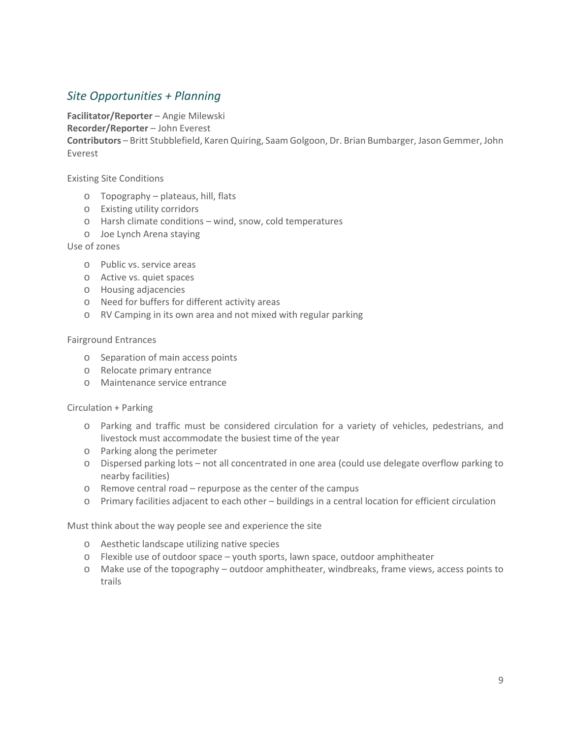## *Site Opportunities + Planning*

**Facilitator/Reporter** – Angie Milewski

**Recorder/Reporter** – John Everest

**Contributors** – Britt Stubblefield, Karen Quiring, Saam Golgoon, Dr. Brian Bumbarger, Jason Gemmer, John Everest

Existing Site Conditions

- o Topography plateaus, hill, flats
- o Existing utility corridors
- o Harsh climate conditions wind, snow, cold temperatures
- o Joe Lynch Arena staying

Use of zones

- o Public vs. service areas
- o Active vs. quiet spaces
- o Housing adjacencies
- o Need for buffers for different activity areas
- o RV Camping in its own area and not mixed with regular parking

#### Fairground Entrances

- o Separation of main access points
- o Relocate primary entrance
- o Maintenance service entrance

#### Circulation + Parking

- o Parking and traffic must be considered circulation for a variety of vehicles, pedestrians, and livestock must accommodate the busiest time of the year
- o Parking along the perimeter
- o Dispersed parking lots not all concentrated in one area (could use delegate overflow parking to nearby facilities)
- o Remove central road repurpose as the center of the campus
- o Primary facilities adjacent to each other buildings in a central location for efficient circulation

Must think about the way people see and experience the site

- o Aesthetic landscape utilizing native species
- o Flexible use of outdoor space youth sports, lawn space, outdoor amphitheater
- o Make use of the topography outdoor amphitheater, windbreaks, frame views, access points to trails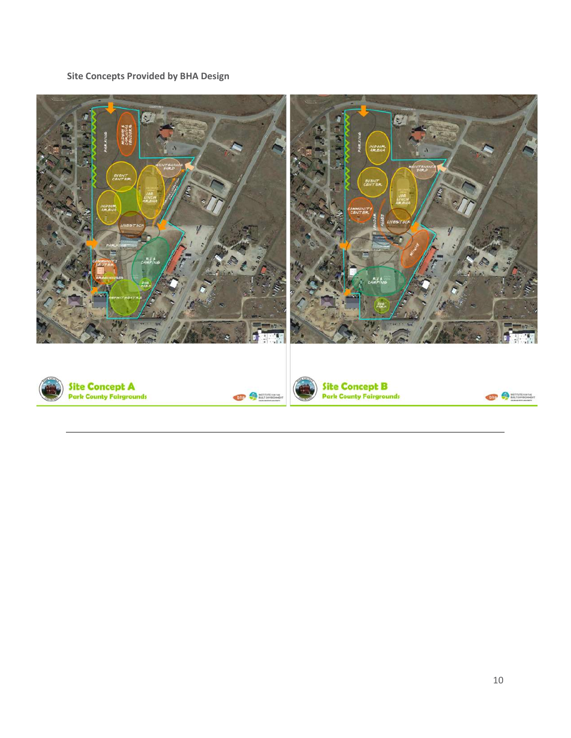**Site Concepts Provided by BHA Design** 

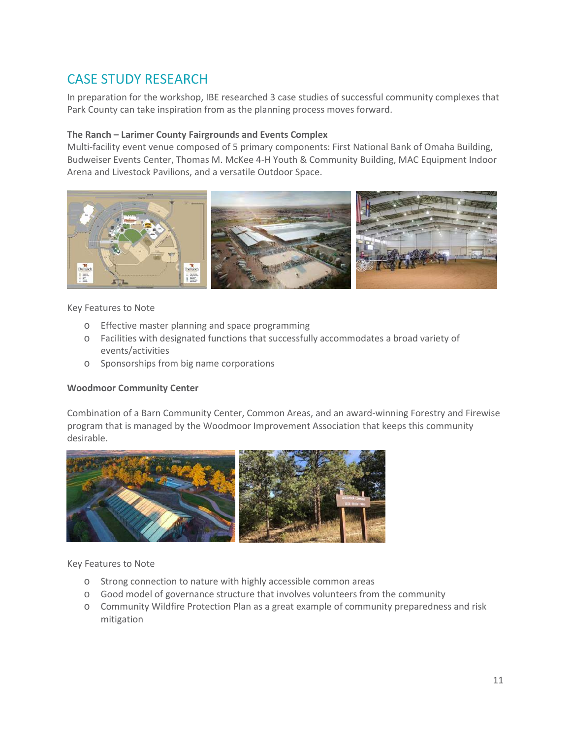# CASE STUDY RESEARCH

In preparation for the workshop, IBE researched 3 case studies of successful community complexes that Park County can take inspiration from as the planning process moves forward.

#### **The Ranch – Larimer County Fairgrounds and Events Complex**

Multi-facility event venue composed of 5 primary components: First National Bank of Omaha Building, Budweiser Events Center, Thomas M. McKee 4-H Youth & Community Building, MAC Equipment Indoor Arena and Livestock Pavilions, and a versatile Outdoor Space.



#### Key Features to Note

- o Effective master planning and space programming
- o Facilities with designated functions that successfully accommodates a broad variety of events/activities
- o Sponsorships from big name corporations

#### **Woodmoor Community Center**

Combination of a Barn Community Center, Common Areas, and an award-winning Forestry and Firewise program that is managed by the Woodmoor Improvement Association that keeps this community desirable.



#### Key Features to Note

- o Strong connection to nature with highly accessible common areas
- o Good model of governance structure that involves volunteers from the community
- o Community Wildfire Protection Plan as a great example of community preparedness and risk mitigation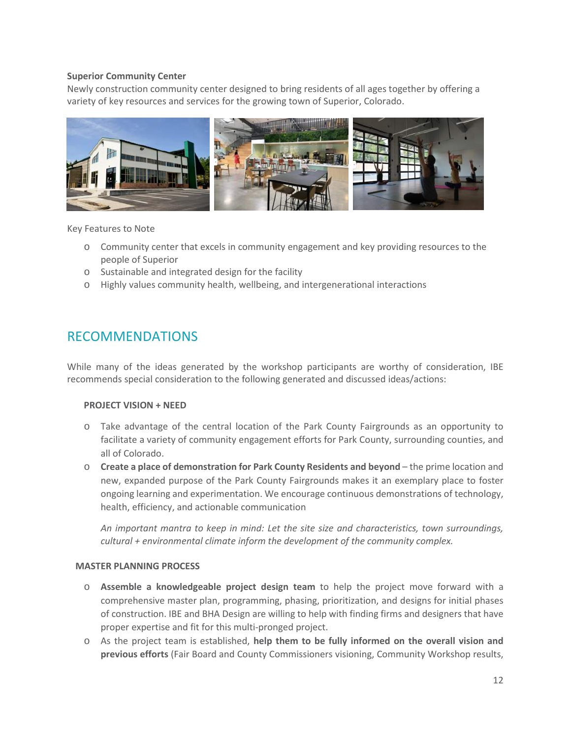#### **Superior Community Center**

Newly construction community center designed to bring residents of all ages together by offering a variety of key resources and services for the growing town of Superior, Colorado.



Key Features to Note

- o Community center that excels in community engagement and key providing resources to the people of Superior
- o Sustainable and integrated design for the facility
- o Highly values community health, wellbeing, and intergenerational interactions

## RECOMMENDATIONS

While many of the ideas generated by the workshop participants are worthy of consideration, IBE recommends special consideration to the following generated and discussed ideas/actions:

#### **PROJECT VISION + NEED**

- o Take advantage of the central location of the Park County Fairgrounds as an opportunity to facilitate a variety of community engagement efforts for Park County, surrounding counties, and all of Colorado.
- o **Create a place of demonstration for Park County Residents and beyond** the prime location and new, expanded purpose of the Park County Fairgrounds makes it an exemplary place to foster ongoing learning and experimentation. We encourage continuous demonstrations of technology, health, efficiency, and actionable communication

*An important mantra to keep in mind: Let the site size and characteristics, town surroundings, cultural + environmental climate inform the development of the community complex.*

#### **MASTER PLANNING PROCESS**

- o **Assemble a knowledgeable project design team** to help the project move forward with a comprehensive master plan, programming, phasing, prioritization, and designs for initial phases of construction. IBE and BHA Design are willing to help with finding firms and designers that have proper expertise and fit for this multi-pronged project.
- o As the project team is established, **help them to be fully informed on the overall vision and previous efforts** (Fair Board and County Commissioners visioning, Community Workshop results,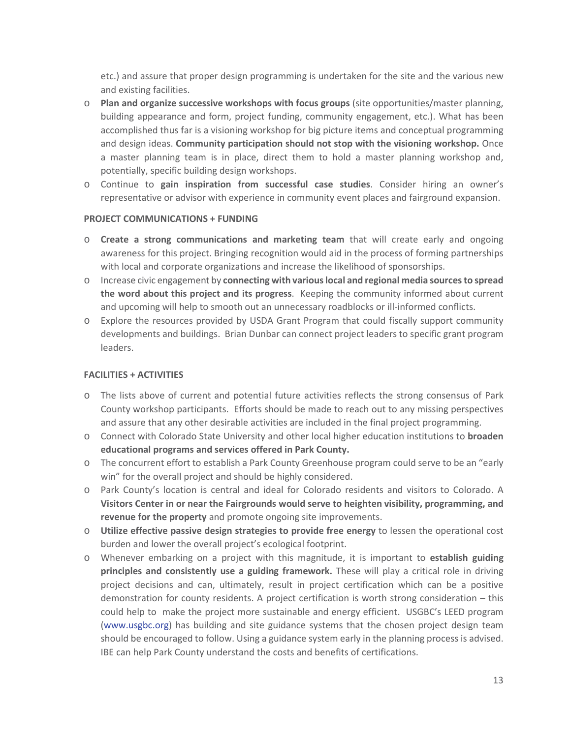etc.) and assure that proper design programming is undertaken for the site and the various new and existing facilities.

- o **Plan and organize successive workshops with focus groups** (site opportunities/master planning, building appearance and form, project funding, community engagement, etc.). What has been accomplished thus far is a visioning workshop for big picture items and conceptual programming and design ideas. **Community participation should not stop with the visioning workshop.** Once a master planning team is in place, direct them to hold a master planning workshop and, potentially, specific building design workshops.
- o Continue to **gain inspiration from successful case studies**. Consider hiring an owner's representative or advisor with experience in community event places and fairground expansion.

#### **PROJECT COMMUNICATIONS + FUNDING**

- o **Create a strong communications and marketing team** that will create early and ongoing awareness for this project. Bringing recognition would aid in the process of forming partnerships with local and corporate organizations and increase the likelihood of sponsorships.
- o Increase civic engagement by **connecting with various local and regional media sources to spread the word about this project and its progress**. Keeping the community informed about current and upcoming will help to smooth out an unnecessary roadblocks or ill-informed conflicts.
- o Explore the resources provided by USDA Grant Program that could fiscally support community developments and buildings. Brian Dunbar can connect project leaders to specific grant program leaders.

#### **FACILITIES + ACTIVITIES**

- o The lists above of current and potential future activities reflects the strong consensus of Park County workshop participants. Efforts should be made to reach out to any missing perspectives and assure that any other desirable activities are included in the final project programming.
- o Connect with Colorado State University and other local higher education institutions to **broaden educational programs and services offered in Park County.**
- o The concurrent effort to establish a Park County Greenhouse program could serve to be an "early win" for the overall project and should be highly considered.
- o Park County's location is central and ideal for Colorado residents and visitors to Colorado. A **Visitors Center in or near the Fairgrounds would serve to heighten visibility, programming, and revenue for the property** and promote ongoing site improvements.
- o **Utilize effective passive design strategies to provide free energy** to lessen the operational cost burden and lower the overall project's ecological footprint.
- o Whenever embarking on a project with this magnitude, it is important to **establish guiding principles and consistently use a guiding framework.** These will play a critical role in driving project decisions and can, ultimately, result in project certification which can be a positive demonstration for county residents. A project certification is worth strong consideration – this could help to make the project more sustainable and energy efficient. USGBC's LEED program (www.usgbc.org) has building and site guidance systems that the chosen project design team should be encouraged to follow. Using a guidance system early in the planning process is advised. IBE can help Park County understand the costs and benefits of certifications.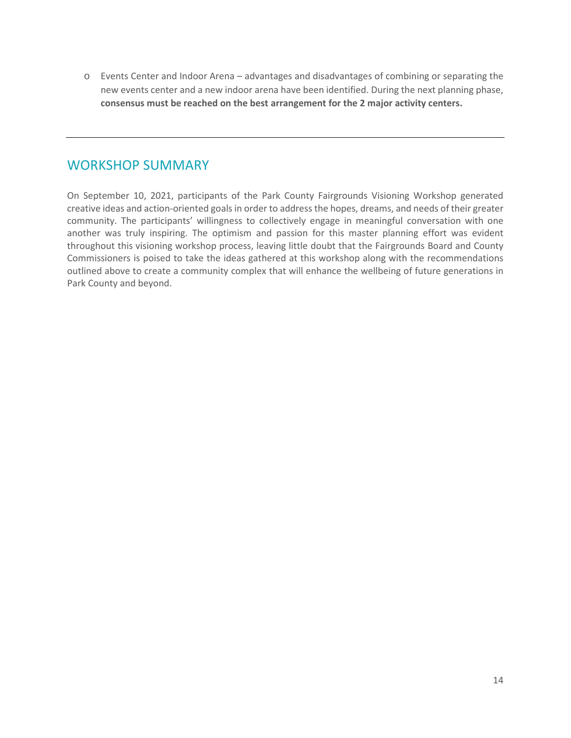o Events Center and Indoor Arena – advantages and disadvantages of combining or separating the new events center and a new indoor arena have been identified. During the next planning phase, **consensus must be reached on the best arrangement for the 2 major activity centers.** 

## WORKSHOP SUMMARY

On September 10, 2021, participants of the Park County Fairgrounds Visioning Workshop generated creative ideas and action-oriented goals in order to address the hopes, dreams, and needs of their greater community. The participants' willingness to collectively engage in meaningful conversation with one another was truly inspiring. The optimism and passion for this master planning effort was evident throughout this visioning workshop process, leaving little doubt that the Fairgrounds Board and County Commissioners is poised to take the ideas gathered at this workshop along with the recommendations outlined above to create a community complex that will enhance the wellbeing of future generations in Park County and beyond.